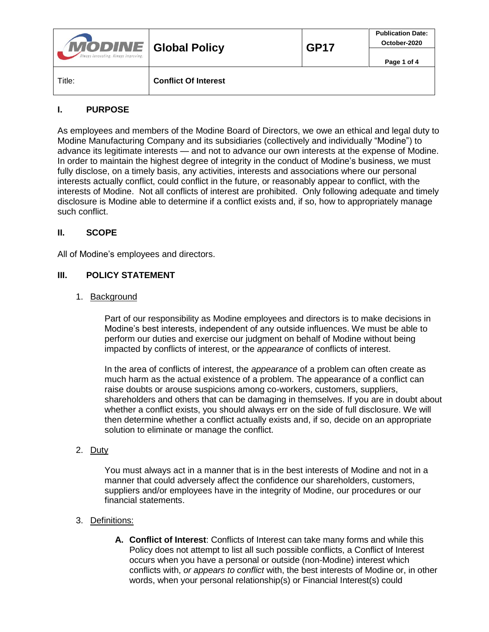| <b>MODINE</b> Global Policy<br>Always Innovating. Always Improving. |                             | <b>GP17</b> | <b>Publication Date:</b><br>October-2020 |
|---------------------------------------------------------------------|-----------------------------|-------------|------------------------------------------|
|                                                                     |                             |             | Page 1 of 4                              |
| Title:                                                              | <b>Conflict Of Interest</b> |             |                                          |

### **I. PURPOSE**

As employees and members of the Modine Board of Directors, we owe an ethical and legal duty to Modine Manufacturing Company and its subsidiaries (collectively and individually "Modine") to advance its legitimate interests — and not to advance our own interests at the expense of Modine. In order to maintain the highest degree of integrity in the conduct of Modine's business, we must fully disclose, on a timely basis, any activities, interests and associations where our personal interests actually conflict, could conflict in the future, or reasonably appear to conflict, with the interests of Modine. Not all conflicts of interest are prohibited. Only following adequate and timely disclosure is Modine able to determine if a conflict exists and, if so, how to appropriately manage such conflict.

### **II. SCOPE**

All of Modine's employees and directors.

### **III. POLICY STATEMENT**

#### 1. Background

Part of our responsibility as Modine employees and directors is to make decisions in Modine's best interests, independent of any outside influences. We must be able to perform our duties and exercise our judgment on behalf of Modine without being impacted by conflicts of interest, or the *appearance* of conflicts of interest.

In the area of conflicts of interest, the *appearance* of a problem can often create as much harm as the actual existence of a problem. The appearance of a conflict can raise doubts or arouse suspicions among co-workers, customers, suppliers, shareholders and others that can be damaging in themselves. If you are in doubt about whether a conflict exists, you should always err on the side of full disclosure. We will then determine whether a conflict actually exists and, if so, decide on an appropriate solution to eliminate or manage the conflict.

### 2. Duty

You must always act in a manner that is in the best interests of Modine and not in a manner that could adversely affect the confidence our shareholders, customers, suppliers and/or employees have in the integrity of Modine, our procedures or our financial statements.

### 3. Definitions:

**A. Conflict of Interest**: Conflicts of Interest can take many forms and while this Policy does not attempt to list all such possible conflicts, a Conflict of Interest occurs when you have a personal or outside (non-Modine) interest which conflicts with, *or appears to conflict* with, the best interests of Modine or, in other words, when your personal relationship(s) or Financial Interest(s) could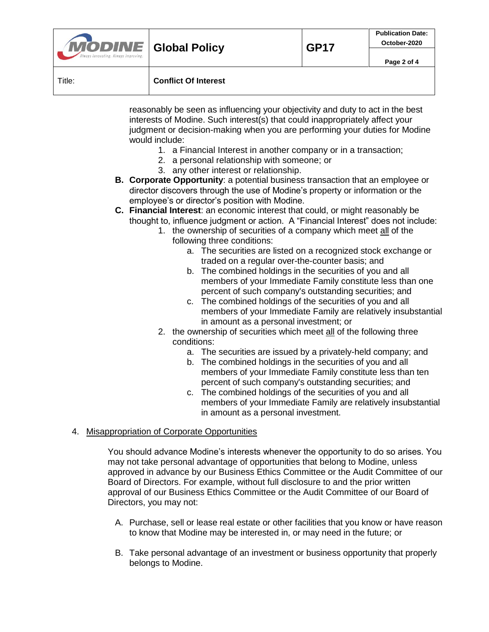| <b>MODINE</b> Global Policy<br>Always Innovating. Always Improving. |                             | <b>GP17</b> | <b>Publication Date:</b><br>October-2020 |
|---------------------------------------------------------------------|-----------------------------|-------------|------------------------------------------|
|                                                                     |                             |             | Page 2 of 4                              |
| Title:                                                              | <b>Conflict Of Interest</b> |             |                                          |

reasonably be seen as influencing your objectivity and duty to act in the best interests of Modine. Such interest(s) that could inappropriately affect your judgment or decision-making when you are performing your duties for Modine would include:

- 1. a Financial Interest in another company or in a transaction;
- 2. a personal relationship with someone; or
- 3. any other interest or relationship.
- **B. Corporate Opportunity**: a potential business transaction that an employee or director discovers through the use of Modine's property or information or the employee's or director's position with Modine.
- **C. Financial Interest**: an economic interest that could, or might reasonably be thought to, influence judgment or action. A "Financial Interest" does not include:
	- 1. the ownership of securities of a company which meet all of the following three conditions:
		- a. The securities are listed on a recognized stock exchange or traded on a regular over-the-counter basis; and
		- b. The combined holdings in the securities of you and all members of your Immediate Family constitute less than one percent of such company's outstanding securities; and
		- c. The combined holdings of the securities of you and all members of your Immediate Family are relatively insubstantial in amount as a personal investment; or
	- 2. the ownership of securities which meet all of the following three conditions:
		- a. The securities are issued by a privately-held company; and
		- b. The combined holdings in the securities of you and all members of your Immediate Family constitute less than ten percent of such company's outstanding securities; and
		- c. The combined holdings of the securities of you and all members of your Immediate Family are relatively insubstantial in amount as a personal investment.

# 4. Misappropriation of Corporate Opportunities

You should advance Modine's interests whenever the opportunity to do so arises. You may not take personal advantage of opportunities that belong to Modine, unless approved in advance by our Business Ethics Committee or the Audit Committee of our Board of Directors. For example, without full disclosure to and the prior written approval of our Business Ethics Committee or the Audit Committee of our Board of Directors, you may not:

- A. Purchase, sell or lease real estate or other facilities that you know or have reason to know that Modine may be interested in, or may need in the future; or
- B. Take personal advantage of an investment or business opportunity that properly belongs to Modine.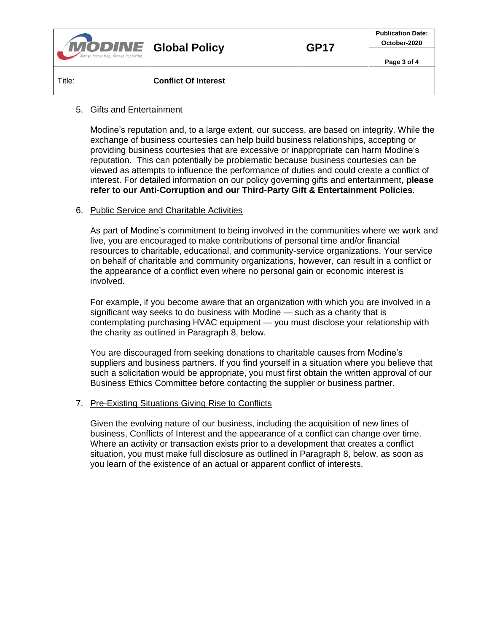| <b>MODINE</b> Global Policy<br>Always Innovating. Always Improving. |                             | <b>GP17</b> | <b>Publication Date:</b><br>October-2020 |
|---------------------------------------------------------------------|-----------------------------|-------------|------------------------------------------|
|                                                                     |                             |             | Page 3 of 4                              |
| Title:                                                              | <b>Conflict Of Interest</b> |             |                                          |

### 5. Gifts and Entertainment

Modine's reputation and, to a large extent, our success, are based on integrity. While the exchange of business courtesies can help build business relationships, accepting or providing business courtesies that are excessive or inappropriate can harm Modine's reputation. This can potentially be problematic because business courtesies can be viewed as attempts to influence the performance of duties and could create a conflict of interest. For detailed information on our policy governing gifts and entertainment, **please refer to our Anti-Corruption and our Third-Party Gift & Entertainment Policies**.

### 6. Public Service and Charitable Activities

As part of Modine's commitment to being involved in the communities where we work and live, you are encouraged to make contributions of personal time and/or financial resources to charitable, educational, and community-service organizations. Your service on behalf of charitable and community organizations, however, can result in a conflict or the appearance of a conflict even where no personal gain or economic interest is involved.

For example, if you become aware that an organization with which you are involved in a significant way seeks to do business with Modine — such as a charity that is contemplating purchasing HVAC equipment — you must disclose your relationship with the charity as outlined in Paragraph 8, below.

You are discouraged from seeking donations to charitable causes from Modine's suppliers and business partners. If you find yourself in a situation where you believe that such a solicitation would be appropriate, you must first obtain the written approval of our Business Ethics Committee before contacting the supplier or business partner.

### 7. Pre-Existing Situations Giving Rise to Conflicts

Given the evolving nature of our business, including the acquisition of new lines of business, Conflicts of Interest and the appearance of a conflict can change over time. Where an activity or transaction exists prior to a development that creates a conflict situation, you must make full disclosure as outlined in Paragraph 8, below, as soon as you learn of the existence of an actual or apparent conflict of interests.